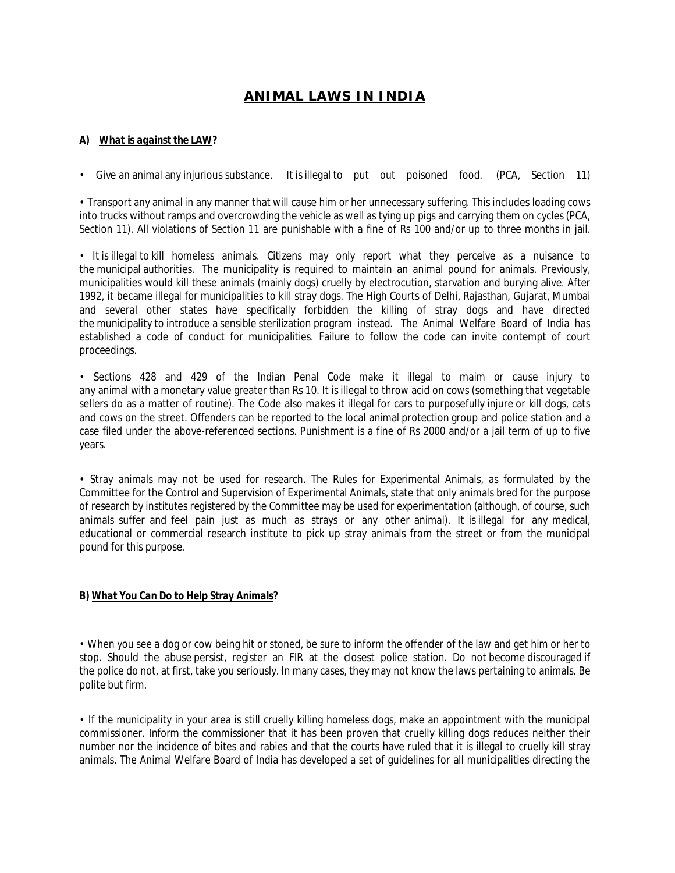## **ANIMAL LAWS IN INDIA**

## *A) What is against the LAW?*

• Give an animal any injurious substance. It is illegal to put out poisoned food. (PCA, Section 11)

• Transport any animal in any manner that will cause him or her unnecessary suffering. This includes loading cows into trucks without ramps and overcrowding the vehicle as well as tying up pigs and carrying them on cycles (PCA, Section 11). All violations of Section 11 are punishable with a fine of Rs 100 and/or up to three months in jail.

• It is illegal to kill homeless animals. Citizens may only report what they perceive as a nuisance to the municipal authorities. The municipality is required to maintain an animal pound for animals. Previously, municipalities would kill these animals (mainly dogs) cruelly by electrocution, starvation and burying alive. After 1992, it became illegal for municipalities to kill stray dogs. The High Courts of Delhi, Rajasthan, Gujarat, Mumbai and several other states have specifically forbidden the killing of stray dogs and have directed the municipality to introduce a sensible sterilization program instead. The Animal Welfare Board of India has established a code of conduct for municipalities. Failure to follow the code can invite contempt of court proceedings.

• Sections 428 and 429 of the Indian Penal Code make it illegal to maim or cause injury to any animal with a monetary value greater than Rs 10. It is illegal to throw acid on cows (something that vegetable sellers do as a matter of routine). The Code also makes it illegal for cars to purposefully injure or kill dogs, cats and cows on the street. Offenders can be reported to the local animal protection group and police station and a case filed under the above-referenced sections. Punishment is a fine of Rs 2000 and/or a jail term of up to five years.

• Stray animals may not be used for research. The Rules for Experimental Animals, as formulated by the Committee for the Control and Supervision of Experimental Animals, state that only animals bred for the purpose of research by institutes registered by the Committee may be used for experimentation (although, of course, such animals suffer and feel pain just as much as strays or any other animal). It is illegal for any medical, educational or commercial research institute to pick up stray animals from the street or from the municipal pound for this purpose.

## *B) What You Can Do to Help Stray Animals?*

• When you see a dog or cow being hit or stoned, be sure to inform the offender of the law and get him or her to stop. Should the abuse persist, register an FIR at the closest police station. Do not become discouraged if the police do not, at first, take you seriously. In many cases, they may not know the laws pertaining to animals. Be polite but firm.

• If the municipality in your area is still cruelly killing homeless dogs, make an appointment with the municipal commissioner. Inform the commissioner that it has been proven that cruelly killing dogs reduces neither their number nor the incidence of bites and rabies and that the courts have ruled that it is illegal to cruelly kill stray animals. The Animal Welfare Board of India has developed a set of guidelines for all municipalities directing the